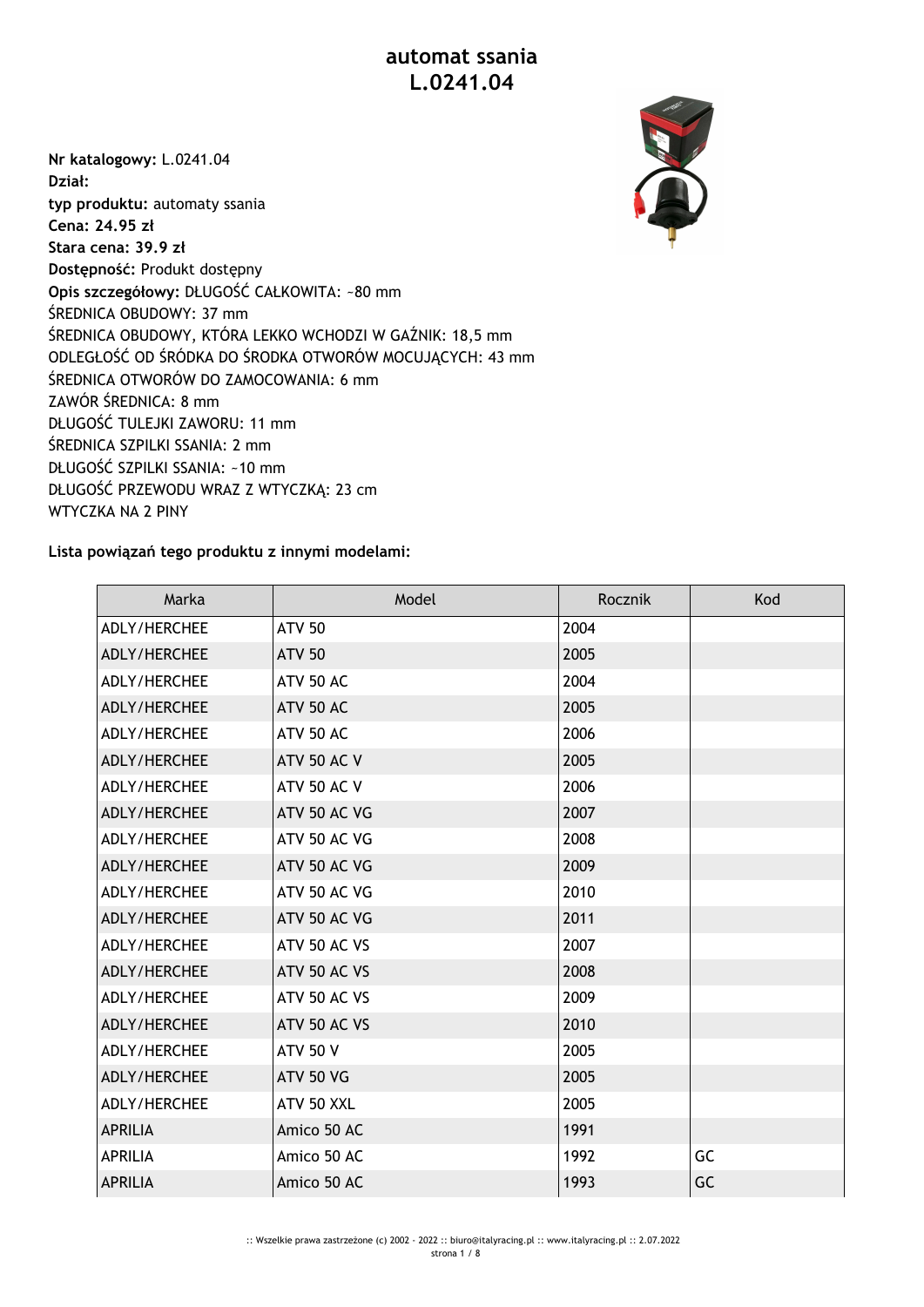## **automat ssania L.0241.04**

**Nr katalogowy:** L.0241.04 **Dział: typ produktu:** automaty ssania **Cena: 24.95 zł Stara cena: 39.9 zł Dostępność:** Produkt dostępny **Opis szczegółowy:** DŁUGOŚĆ CAŁKOWITA: ~80 mm ŚREDNICA OBUDOWY: 37 mm ŚREDNICA OBUDOWY, KTÓRA LEKKO WCHODZI W GAŹNIK: 18,5 mm ODLEGŁOŚĆ OD ŚRÓDKA DO ŚRODKA OTWORÓW MOCUJĄCYCH: 43 mm ŚREDNICA OTWORÓW DO ZAMOCOWANIA: 6 mm ZAWÓR ŚREDNICA: 8 mm DŁUGOŚĆ TULEJKI ZAWORU: 11 mm ŚREDNICA SZPILKI SSANIA: 2 mm DŁUGOŚĆ SZPILKI SSANIA: ~10 mm DŁUGOŚĆ PRZEWODU WRAZ Z WTYCZKĄ: 23 cm WTYCZKA NA 2 PINY



## **Lista powiązań tego produktu z innymi modelami:**

| Marka               | Model              | Rocznik | Kod |
|---------------------|--------------------|---------|-----|
| ADLY/HERCHEE        | <b>ATV 50</b>      | 2004    |     |
| ADLY/HERCHEE        | <b>ATV 50</b>      | 2005    |     |
| ADLY/HERCHEE        | ATV 50 AC          | 2004    |     |
| ADLY/HERCHEE        | ATV 50 AC          | 2005    |     |
| ADLY/HERCHEE        | <b>ATV 50 AC</b>   | 2006    |     |
| ADLY/HERCHEE        | <b>ATV 50 AC V</b> | 2005    |     |
| ADLY/HERCHEE        | <b>ATV 50 AC V</b> | 2006    |     |
| ADLY/HERCHEE        | ATV 50 AC VG       | 2007    |     |
| ADLY/HERCHEE        | ATV 50 AC VG       | 2008    |     |
| ADLY/HERCHEE        | ATV 50 AC VG       | 2009    |     |
| ADLY/HERCHEE        | ATV 50 AC VG       | 2010    |     |
| ADLY/HERCHEE        | ATV 50 AC VG       | 2011    |     |
| ADLY/HERCHEE        | ATV 50 AC VS       | 2007    |     |
| ADLY/HERCHEE        | ATV 50 AC VS       | 2008    |     |
| ADLY/HERCHEE        | ATV 50 AC VS       | 2009    |     |
| ADLY/HERCHEE        | ATV 50 AC VS       | 2010    |     |
| <b>ADLY/HERCHEE</b> | <b>ATV 50 V</b>    | 2005    |     |
| ADLY/HERCHEE        | <b>ATV 50 VG</b>   | 2005    |     |
| ADLY/HERCHEE        | ATV 50 XXL         | 2005    |     |
| <b>APRILIA</b>      | Amico 50 AC        | 1991    |     |
| <b>APRILIA</b>      | Amico 50 AC        | 1992    | GC  |
| <b>APRILIA</b>      | Amico 50 AC        | 1993    | GC  |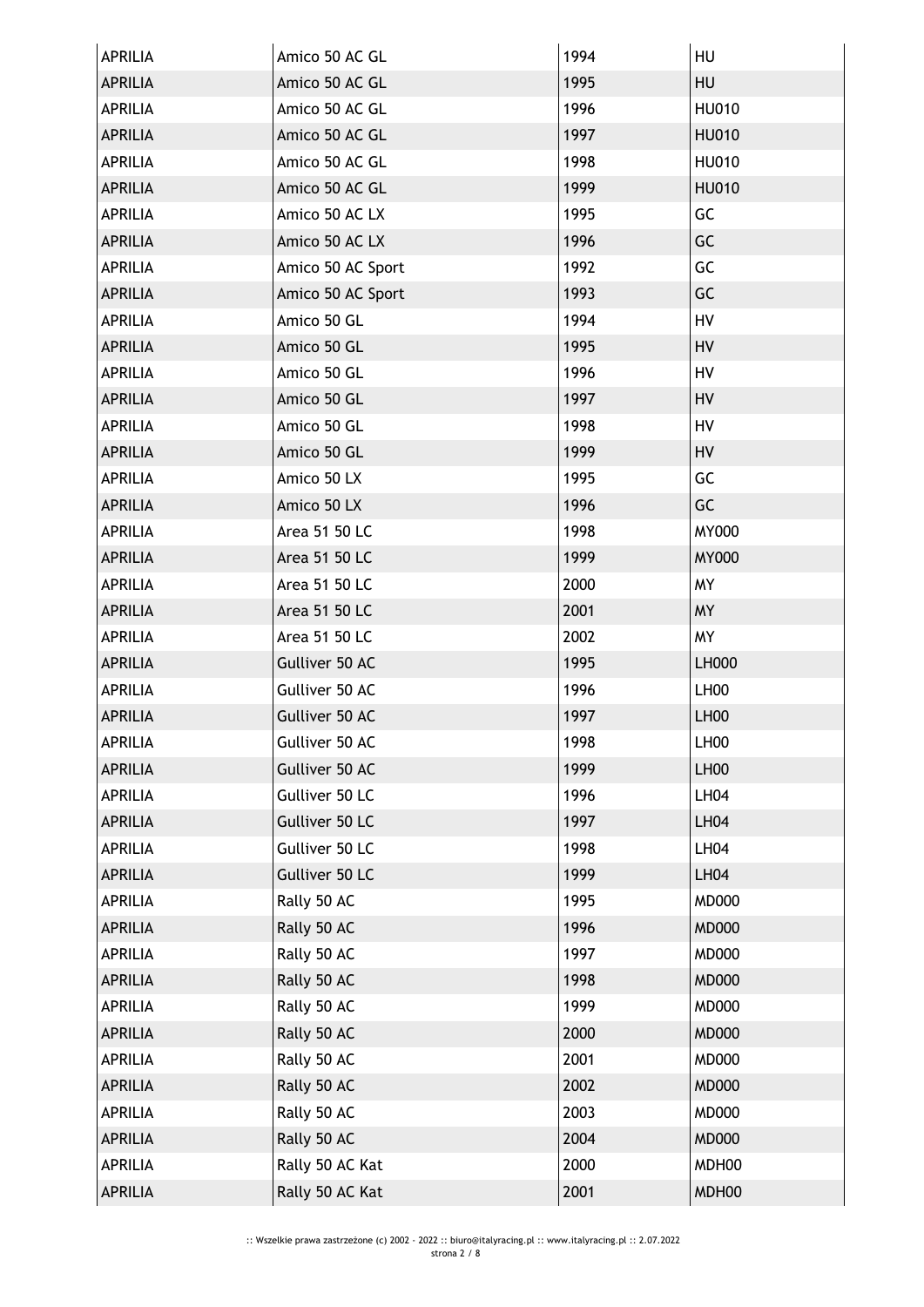| <b>APRILIA</b> | Amico 50 AC GL    | 1994 | HU               |
|----------------|-------------------|------|------------------|
| <b>APRILIA</b> | Amico 50 AC GL    | 1995 | HU               |
| <b>APRILIA</b> | Amico 50 AC GL    | 1996 | <b>HU010</b>     |
| <b>APRILIA</b> | Amico 50 AC GL    | 1997 | <b>HU010</b>     |
| <b>APRILIA</b> | Amico 50 AC GL    | 1998 | HU010            |
| <b>APRILIA</b> | Amico 50 AC GL    | 1999 | <b>HU010</b>     |
| <b>APRILIA</b> | Amico 50 AC LX    | 1995 | GC               |
| <b>APRILIA</b> | Amico 50 AC LX    | 1996 | GC               |
| <b>APRILIA</b> | Amico 50 AC Sport | 1992 | GC               |
| <b>APRILIA</b> | Amico 50 AC Sport | 1993 | GC               |
| <b>APRILIA</b> | Amico 50 GL       | 1994 | HV               |
| <b>APRILIA</b> | Amico 50 GL       | 1995 | HV               |
| APRILIA        | Amico 50 GL       | 1996 | HV               |
| <b>APRILIA</b> | Amico 50 GL       | 1997 | HV               |
| APRILIA        | Amico 50 GL       | 1998 | HV               |
| <b>APRILIA</b> | Amico 50 GL       | 1999 | HV               |
| <b>APRILIA</b> | Amico 50 LX       | 1995 | GC               |
| <b>APRILIA</b> | Amico 50 LX       | 1996 | GC               |
| APRILIA        | Area 51 50 LC     | 1998 | MY000            |
| <b>APRILIA</b> | Area 51 50 LC     | 1999 | <b>MY000</b>     |
| <b>APRILIA</b> | Area 51 50 LC     | 2000 | <b>MY</b>        |
| <b>APRILIA</b> | Area 51 50 LC     | 2001 | <b>MY</b>        |
| <b>APRILIA</b> | Area 51 50 LC     | 2002 | <b>MY</b>        |
| <b>APRILIA</b> | Gulliver 50 AC    | 1995 | LH000            |
| APRILIA        | Gulliver 50 AC    | 1996 | LH <sub>00</sub> |
| <b>APRILIA</b> | Gulliver 50 AC    | 1997 | <b>LH00</b>      |
| APRILIA        | Gulliver 50 AC    | 1998 | LH00             |
| <b>APRILIA</b> | Gulliver 50 AC    | 1999 | LH00             |
| APRILIA        | Gulliver 50 LC    | 1996 | LHO4             |
| <b>APRILIA</b> | Gulliver 50 LC    | 1997 | <b>LH04</b>      |
| APRILIA        | Gulliver 50 LC    | 1998 | LH04             |
| <b>APRILIA</b> | Gulliver 50 LC    | 1999 | <b>LH04</b>      |
| <b>APRILIA</b> | Rally 50 AC       | 1995 | <b>MD000</b>     |
| <b>APRILIA</b> | Rally 50 AC       | 1996 | <b>MD000</b>     |
| <b>APRILIA</b> | Rally 50 AC       | 1997 | <b>MD000</b>     |
| APRILIA        | Rally 50 AC       | 1998 | <b>MD000</b>     |
| APRILIA        | Rally 50 AC       | 1999 | <b>MD000</b>     |
| <b>APRILIA</b> | Rally 50 AC       | 2000 | <b>MD000</b>     |
| APRILIA        | Rally 50 AC       | 2001 | <b>MD000</b>     |
| <b>APRILIA</b> | Rally 50 AC       | 2002 | <b>MD000</b>     |
| <b>APRILIA</b> |                   | 2003 | <b>MD000</b>     |
|                | Rally 50 AC       |      |                  |
| <b>APRILIA</b> | Rally 50 AC       | 2004 | <b>MD000</b>     |
| APRILIA        | Rally 50 AC Kat   | 2000 | MDH00            |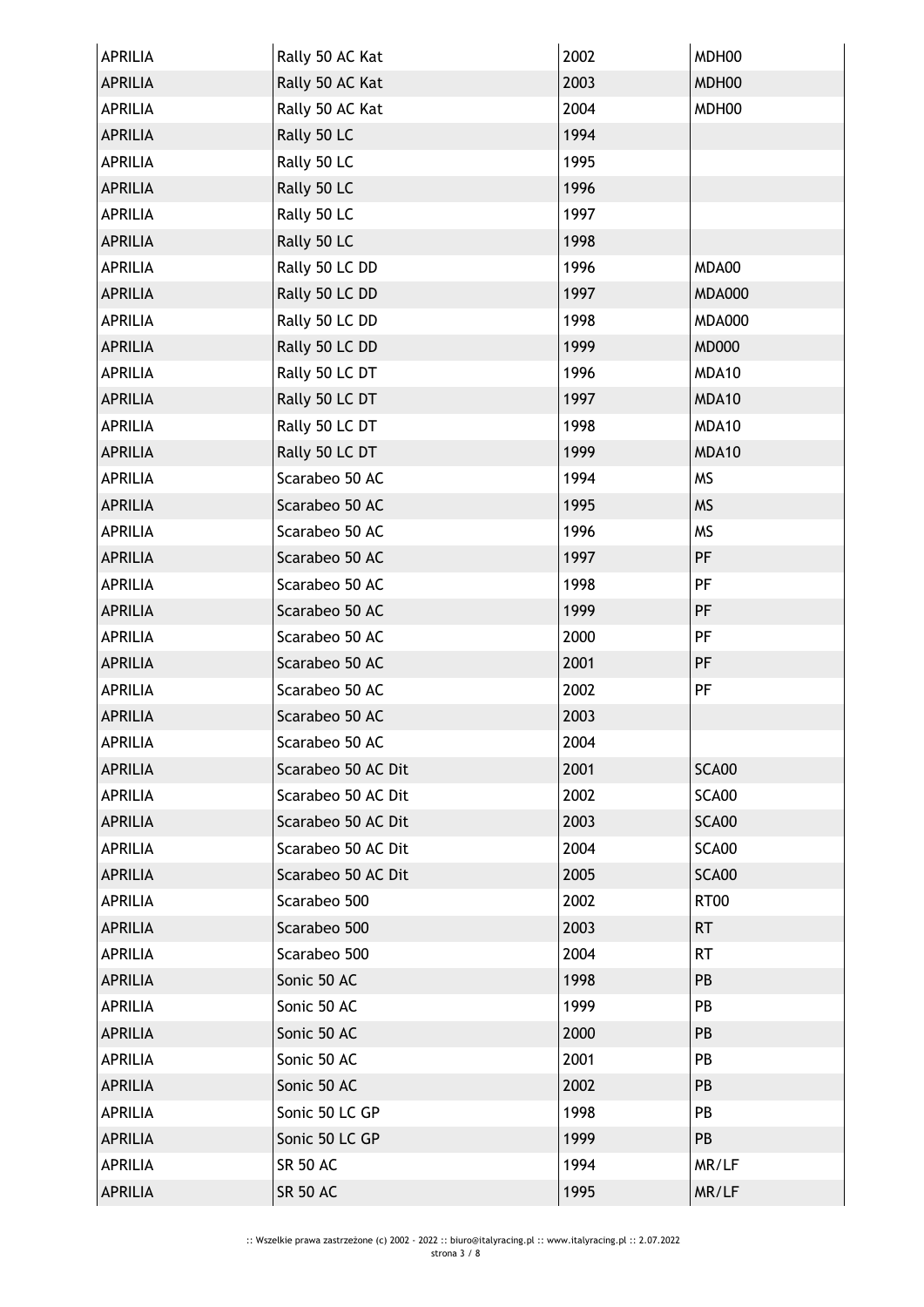| <b>APRILIA</b> | Rally 50 AC Kat    | 2002 | MDH00         |
|----------------|--------------------|------|---------------|
| <b>APRILIA</b> | Rally 50 AC Kat    | 2003 | MDH00         |
| <b>APRILIA</b> | Rally 50 AC Kat    | 2004 | MDH00         |
| <b>APRILIA</b> | Rally 50 LC        | 1994 |               |
| APRILIA        | Rally 50 LC        | 1995 |               |
| <b>APRILIA</b> | Rally 50 LC        | 1996 |               |
| <b>APRILIA</b> | Rally 50 LC        | 1997 |               |
| <b>APRILIA</b> | Rally 50 LC        | 1998 |               |
| <b>APRILIA</b> | Rally 50 LC DD     | 1996 | MDA00         |
| <b>APRILIA</b> | Rally 50 LC DD     | 1997 | <b>MDA000</b> |
| APRILIA        | Rally 50 LC DD     | 1998 | <b>MDA000</b> |
| <b>APRILIA</b> | Rally 50 LC DD     | 1999 | <b>MD000</b>  |
| APRILIA        | Rally 50 LC DT     | 1996 | MDA10         |
| <b>APRILIA</b> | Rally 50 LC DT     | 1997 | MDA10         |
| <b>APRILIA</b> | Rally 50 LC DT     | 1998 | MDA10         |
| <b>APRILIA</b> | Rally 50 LC DT     | 1999 | MDA10         |
| APRILIA        | Scarabeo 50 AC     | 1994 | <b>MS</b>     |
| <b>APRILIA</b> | Scarabeo 50 AC     | 1995 | <b>MS</b>     |
| APRILIA        | Scarabeo 50 AC     | 1996 | <b>MS</b>     |
| <b>APRILIA</b> | Scarabeo 50 AC     | 1997 | PF            |
| <b>APRILIA</b> | Scarabeo 50 AC     | 1998 | PF            |
| <b>APRILIA</b> | Scarabeo 50 AC     | 1999 | PF            |
| APRILIA        | Scarabeo 50 AC     | 2000 | PF            |
| <b>APRILIA</b> | Scarabeo 50 AC     | 2001 | PF            |
| <b>APRILIA</b> | Scarabeo 50 AC     | 2002 | PF            |
| <b>APRILIA</b> | Scarabeo 50 AC     | 2003 |               |
| <b>APRILIA</b> | Scarabeo 50 AC     | 2004 |               |
| <b>APRILIA</b> | Scarabeo 50 AC Dit | 2001 | SCA00         |
| APRILIA        | Scarabeo 50 AC Dit | 2002 | SCA00         |
| <b>APRILIA</b> | Scarabeo 50 AC Dit | 2003 | SCA00         |
| <b>APRILIA</b> | Scarabeo 50 AC Dit | 2004 | SCA00         |
| <b>APRILIA</b> | Scarabeo 50 AC Dit | 2005 | SCA00         |
| <b>APRILIA</b> | Scarabeo 500       | 2002 | RT00          |
| <b>APRILIA</b> | Scarabeo 500       | 2003 | <b>RT</b>     |
| <b>APRILIA</b> | Scarabeo 500       | 2004 | <b>RT</b>     |
| <b>APRILIA</b> | Sonic 50 AC        | 1998 | PB            |
| <b>APRILIA</b> | Sonic 50 AC        | 1999 | PB            |
| <b>APRILIA</b> | Sonic 50 AC        | 2000 | PB            |
| <b>APRILIA</b> | Sonic 50 AC        | 2001 | PB            |
| <b>APRILIA</b> | Sonic 50 AC        | 2002 | PB            |
| APRILIA        | Sonic 50 LC GP     | 1998 | PB            |
| <b>APRILIA</b> | Sonic 50 LC GP     | 1999 | PB            |
| <b>APRILIA</b> | <b>SR 50 AC</b>    | 1994 | MR/LF         |
| <b>APRILIA</b> | <b>SR 50 AC</b>    | 1995 | MR/LF         |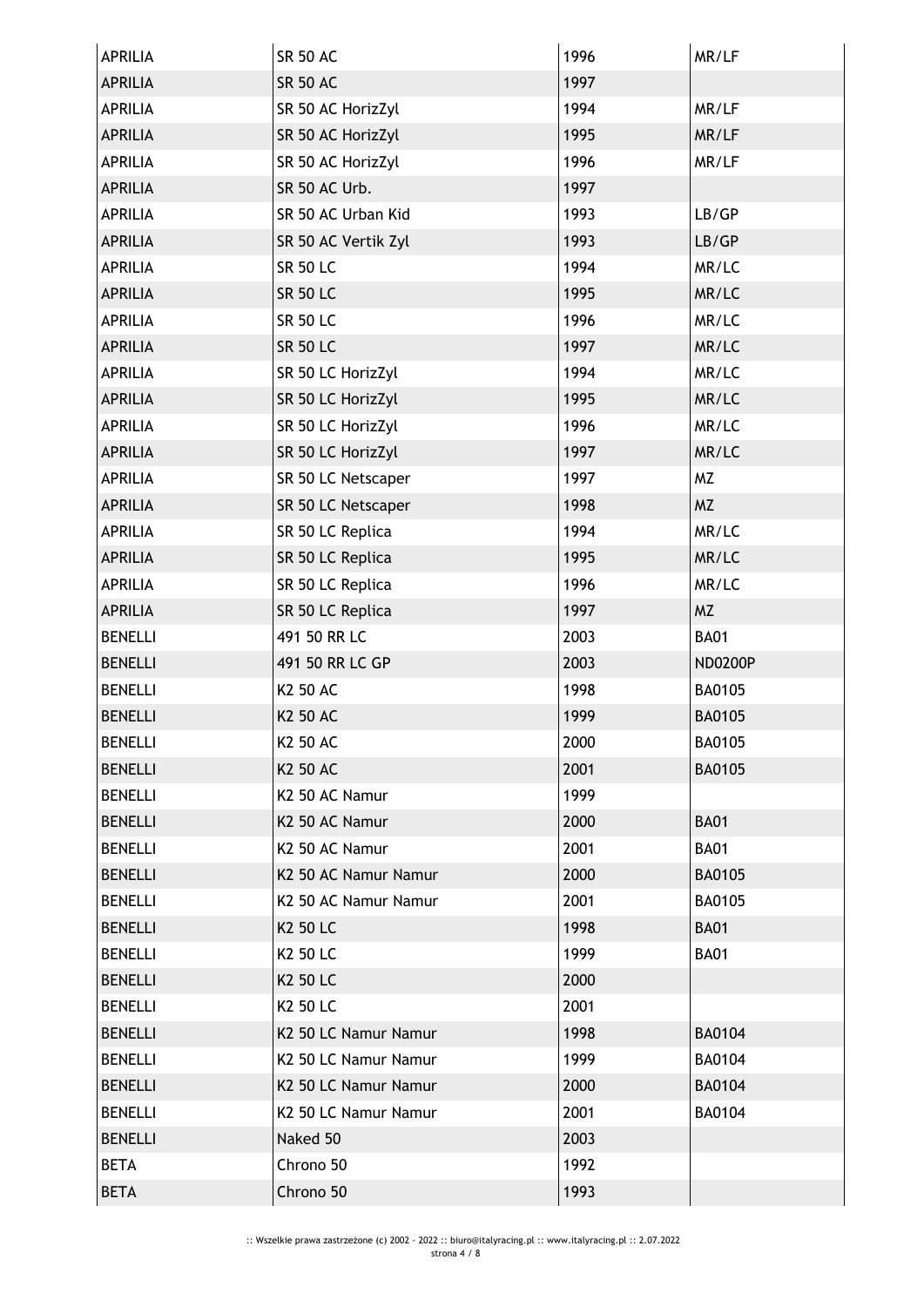| APRILIA        | <b>SR 50 AC</b>      | 1996 | MR/LF          |
|----------------|----------------------|------|----------------|
| <b>APRILIA</b> | <b>SR 50 AC</b>      | 1997 |                |
| <b>APRILIA</b> | SR 50 AC HorizZyl    | 1994 | MR/LF          |
| <b>APRILIA</b> | SR 50 AC HorizZyl    | 1995 | MR/LF          |
| APRILIA        | SR 50 AC HorizZyl    | 1996 | MR/LF          |
| APRILIA        | SR 50 AC Urb.        | 1997 |                |
| <b>APRILIA</b> | SR 50 AC Urban Kid   | 1993 | LB/GP          |
| <b>APRILIA</b> | SR 50 AC Vertik Zyl  | 1993 | LB/GP          |
| <b>APRILIA</b> | <b>SR 50 LC</b>      | 1994 | MR/LC          |
| <b>APRILIA</b> | <b>SR 50 LC</b>      | 1995 | MR/LC          |
| <b>APRILIA</b> | <b>SR 50 LC</b>      | 1996 | MR/LC          |
| <b>APRILIA</b> | <b>SR 50 LC</b>      | 1997 | MR/LC          |
| <b>APRILIA</b> | SR 50 LC HorizZyl    | 1994 | MR/LC          |
| <b>APRILIA</b> | SR 50 LC HorizZyl    | 1995 | MR/LC          |
| <b>APRILIA</b> | SR 50 LC HorizZyl    | 1996 | MR/LC          |
| <b>APRILIA</b> | SR 50 LC HorizZyl    | 1997 | MR/LC          |
| <b>APRILIA</b> | SR 50 LC Netscaper   | 1997 | <b>MZ</b>      |
| <b>APRILIA</b> | SR 50 LC Netscaper   | 1998 | <b>MZ</b>      |
| <b>APRILIA</b> | SR 50 LC Replica     | 1994 | MR/LC          |
| <b>APRILIA</b> | SR 50 LC Replica     | 1995 | MR/LC          |
| <b>APRILIA</b> | SR 50 LC Replica     | 1996 | MR/LC          |
| <b>APRILIA</b> | SR 50 LC Replica     | 1997 | <b>MZ</b>      |
| <b>BENELLI</b> | 491 50 RR LC         | 2003 | <b>BA01</b>    |
| <b>BENELLI</b> | 491 50 RR LC GP      | 2003 | <b>ND0200P</b> |
| <b>BENELLI</b> | K2 50 AC             | 1998 | BA0105         |
| <b>BENELLI</b> | K2 50 AC             | 1999 | <b>BA0105</b>  |
| <b>BENELLI</b> | <b>K2 50 AC</b>      | 2000 | BA0105         |
| <b>BENELLI</b> | <b>K2 50 AC</b>      | 2001 | <b>BA0105</b>  |
| <b>BENELLI</b> | K2 50 AC Namur       | 1999 |                |
| <b>BENELLI</b> | K2 50 AC Namur       | 2000 | <b>BA01</b>    |
| <b>BENELLI</b> | K2 50 AC Namur       | 2001 | <b>BA01</b>    |
| <b>BENELLI</b> | K2 50 AC Namur Namur | 2000 | BA0105         |
| <b>BENELLI</b> | K2 50 AC Namur Namur | 2001 | BA0105         |
| <b>BENELLI</b> | K2 50 LC             | 1998 | <b>BA01</b>    |
| <b>BENELLI</b> | K <sub>2</sub> 50 LC | 1999 | <b>BA01</b>    |
| <b>BENELLI</b> | K2 50 LC             | 2000 |                |
| <b>BENELLI</b> | K <sub>2</sub> 50 LC | 2001 |                |
| <b>BENELLI</b> | K2 50 LC Namur Namur | 1998 | <b>BA0104</b>  |
| <b>BENELLI</b> | K2 50 LC Namur Namur | 1999 | BA0104         |
| <b>BENELLI</b> | K2 50 LC Namur Namur | 2000 | <b>BA0104</b>  |
| <b>BENELLI</b> | K2 50 LC Namur Namur | 2001 | <b>BA0104</b>  |
| <b>BENELLI</b> | Naked 50             | 2003 |                |
| <b>BETA</b>    | Chrono 50            | 1992 |                |
| <b>BETA</b>    | Chrono 50            | 1993 |                |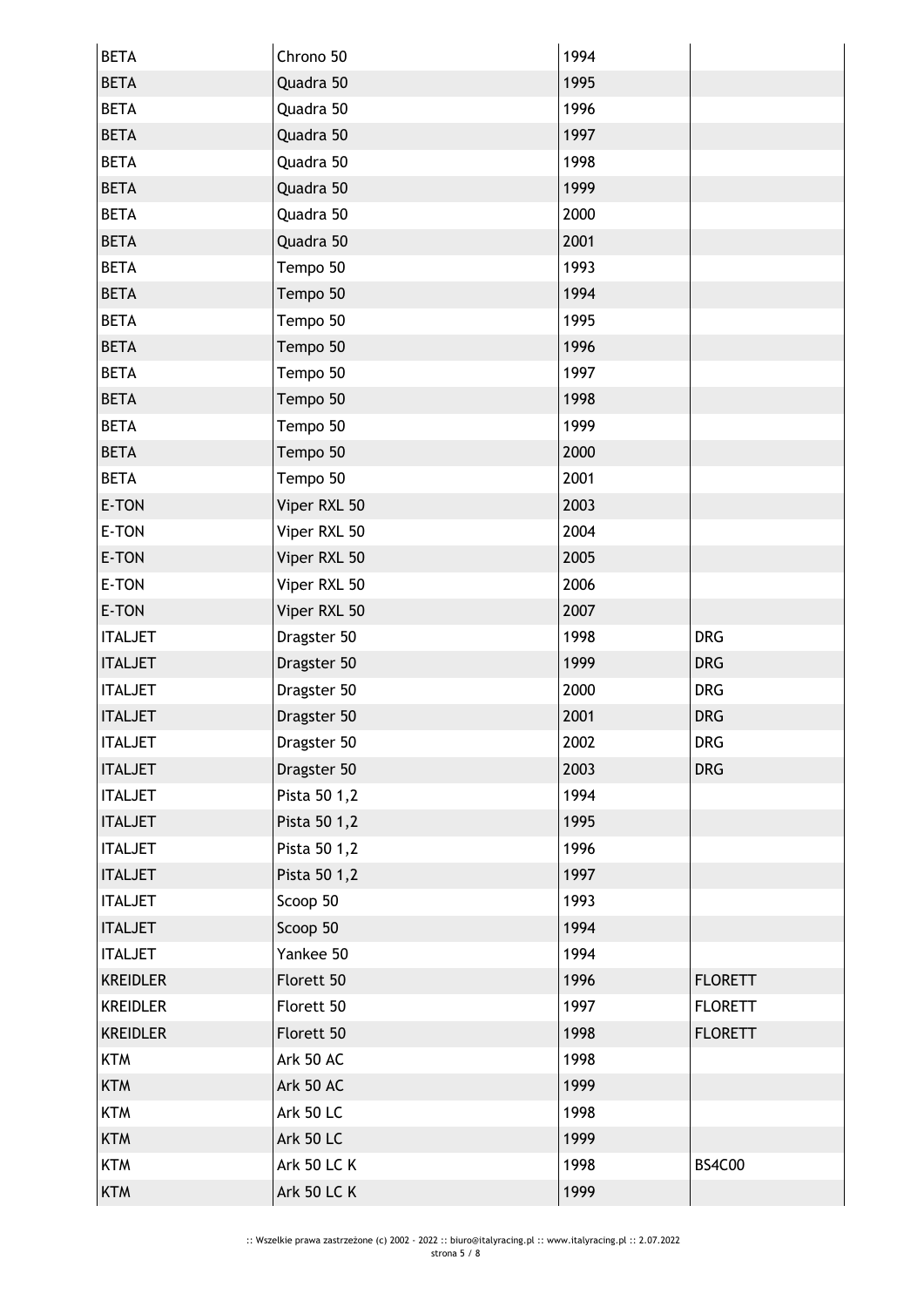| <b>BETA</b>     | Chrono 50          | 1994 |                |
|-----------------|--------------------|------|----------------|
| <b>BETA</b>     | Quadra 50          | 1995 |                |
| <b>BETA</b>     | Quadra 50          | 1996 |                |
| <b>BETA</b>     | Quadra 50          | 1997 |                |
| <b>BETA</b>     | Quadra 50          | 1998 |                |
| <b>BETA</b>     | Quadra 50          | 1999 |                |
| <b>BETA</b>     | Quadra 50          | 2000 |                |
| <b>BETA</b>     | Quadra 50          | 2001 |                |
| <b>BETA</b>     | Tempo 50           | 1993 |                |
| <b>BETA</b>     | Tempo 50           | 1994 |                |
| <b>BETA</b>     | Tempo 50           | 1995 |                |
| <b>BETA</b>     | Tempo 50           | 1996 |                |
| <b>BETA</b>     | Tempo 50           | 1997 |                |
| <b>BETA</b>     | Tempo 50           | 1998 |                |
| <b>BETA</b>     | Tempo 50           | 1999 |                |
| <b>BETA</b>     | Tempo 50           | 2000 |                |
| <b>BETA</b>     | Tempo 50           | 2001 |                |
| E-TON           | Viper RXL 50       | 2003 |                |
| E-TON           | Viper RXL 50       | 2004 |                |
| E-TON           | Viper RXL 50       | 2005 |                |
| E-TON           | Viper RXL 50       | 2006 |                |
| E-TON           | Viper RXL 50       | 2007 |                |
| <b>ITALJET</b>  | Dragster 50        | 1998 | <b>DRG</b>     |
| <b>ITALJET</b>  | Dragster 50        | 1999 | <b>DRG</b>     |
| <b>ITALJET</b>  | Dragster 50        | 2000 | <b>DRG</b>     |
| <b>ITALJET</b>  | Dragster 50        | 2001 | <b>DRG</b>     |
| <b>ITALJET</b>  | Dragster 50        | 2002 | <b>DRG</b>     |
| <b>ITALJET</b>  | Dragster 50        | 2003 | <b>DRG</b>     |
| <b>ITALJET</b>  | Pista 50 1,2       | 1994 |                |
| <b>ITALJET</b>  | Pista 50 1,2       | 1995 |                |
| <b>ITALJET</b>  | Pista 50 1,2       | 1996 |                |
| <b>ITALJET</b>  | Pista 50 1,2       | 1997 |                |
| <b>ITALJET</b>  | Scoop 50           | 1993 |                |
| <b>ITALJET</b>  | Scoop 50           | 1994 |                |
| <b>ITALJET</b>  | Yankee 50          | 1994 |                |
| <b>KREIDLER</b> | Florett 50         | 1996 | <b>FLORETT</b> |
| <b>KREIDLER</b> | Florett 50         | 1997 | <b>FLORETT</b> |
| <b>KREIDLER</b> | Florett 50         | 1998 | <b>FLORETT</b> |
| <b>KTM</b>      | Ark 50 AC          | 1998 |                |
| <b>KTM</b>      | Ark 50 AC          | 1999 |                |
| <b>KTM</b>      | <b>Ark 50 LC</b>   | 1998 |                |
| <b>KTM</b>      | <b>Ark 50 LC</b>   | 1999 |                |
| <b>KTM</b>      | <b>Ark 50 LC K</b> | 1998 | <b>BS4C00</b>  |
| <b>KTM</b>      | <b>Ark 50 LC K</b> | 1999 |                |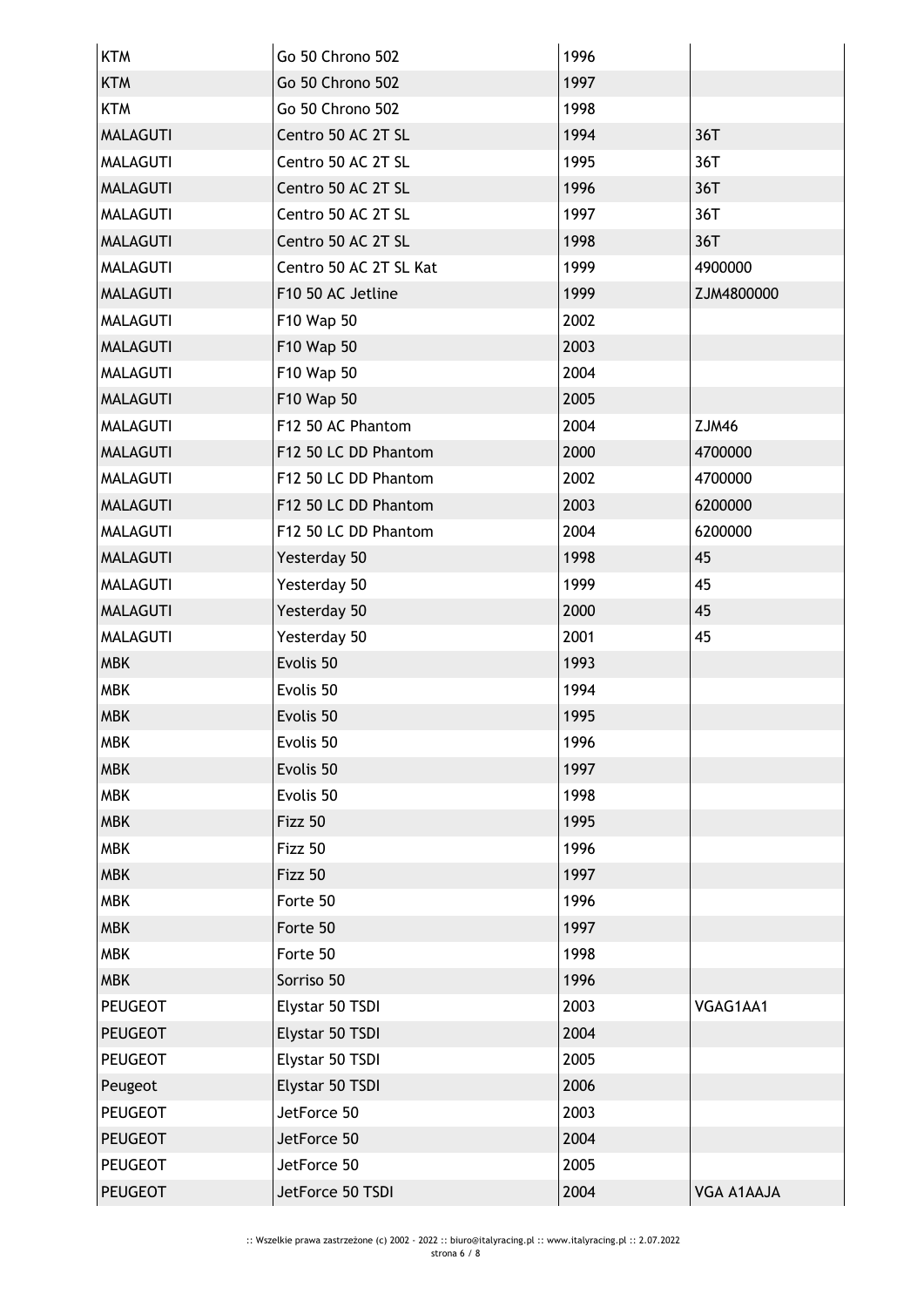| <b>KTM</b>      | Go 50 Chrono 502       | 1996 |                   |
|-----------------|------------------------|------|-------------------|
| <b>KTM</b>      | Go 50 Chrono 502       | 1997 |                   |
| <b>KTM</b>      | Go 50 Chrono 502       | 1998 |                   |
| <b>MALAGUTI</b> | Centro 50 AC 2T SL     | 1994 | 36T               |
| <b>MALAGUTI</b> | Centro 50 AC 2T SL     | 1995 | 36T               |
| <b>MALAGUTI</b> | Centro 50 AC 2T SL     | 1996 | 36T               |
| <b>MALAGUTI</b> | Centro 50 AC 2T SL     | 1997 | 36T               |
| <b>MALAGUTI</b> | Centro 50 AC 2T SL     | 1998 | 36T               |
| <b>MALAGUTI</b> | Centro 50 AC 2T SL Kat | 1999 | 4900000           |
| <b>MALAGUTI</b> | F10 50 AC Jetline      | 1999 | ZJM4800000        |
| <b>MALAGUTI</b> | F10 Wap 50             | 2002 |                   |
| <b>MALAGUTI</b> | F10 Wap 50             | 2003 |                   |
| <b>MALAGUTI</b> | F10 Wap 50             | 2004 |                   |
| <b>MALAGUTI</b> | F10 Wap 50             | 2005 |                   |
| <b>MALAGUTI</b> | F12 50 AC Phantom      | 2004 | ZJM46             |
| <b>MALAGUTI</b> | F12 50 LC DD Phantom   | 2000 | 4700000           |
| <b>MALAGUTI</b> | F12 50 LC DD Phantom   | 2002 | 4700000           |
| <b>MALAGUTI</b> | F12 50 LC DD Phantom   | 2003 | 6200000           |
| <b>MALAGUTI</b> | F12 50 LC DD Phantom   | 2004 | 6200000           |
| <b>MALAGUTI</b> | Yesterday 50           | 1998 | 45                |
| <b>MALAGUTI</b> | Yesterday 50           | 1999 | 45                |
| <b>MALAGUTI</b> | Yesterday 50           | 2000 | 45                |
| <b>MALAGUTI</b> | Yesterday 50           | 2001 | 45                |
| <b>MBK</b>      | Evolis 50              | 1993 |                   |
| <b>MBK</b>      | Evolis 50              | 1994 |                   |
| <b>MBK</b>      | Evolis 50              | 1995 |                   |
| MBK             | Evolis 50              | 1996 |                   |
| <b>MBK</b>      | Evolis 50              | 1997 |                   |
| <b>MBK</b>      | Evolis 50              | 1998 |                   |
| <b>MBK</b>      | Fizz 50                | 1995 |                   |
| <b>MBK</b>      | Fizz 50                | 1996 |                   |
| <b>MBK</b>      | Fizz 50                | 1997 |                   |
| <b>MBK</b>      | Forte 50               | 1996 |                   |
| <b>MBK</b>      | Forte 50               | 1997 |                   |
| <b>MBK</b>      | Forte 50               | 1998 |                   |
| <b>MBK</b>      | Sorriso 50             | 1996 |                   |
| <b>PEUGEOT</b>  | Elystar 50 TSDI        | 2003 | VGAG1AA1          |
| <b>PEUGEOT</b>  | Elystar 50 TSDI        | 2004 |                   |
| <b>PEUGEOT</b>  | Elystar 50 TSDI        | 2005 |                   |
| Peugeot         | Elystar 50 TSDI        | 2006 |                   |
| <b>PEUGEOT</b>  | JetForce 50            | 2003 |                   |
| <b>PEUGEOT</b>  | JetForce 50            | 2004 |                   |
| <b>PEUGEOT</b>  | JetForce 50            | 2005 |                   |
| <b>PEUGEOT</b>  | JetForce 50 TSDI       | 2004 | <b>VGA A1AAJA</b> |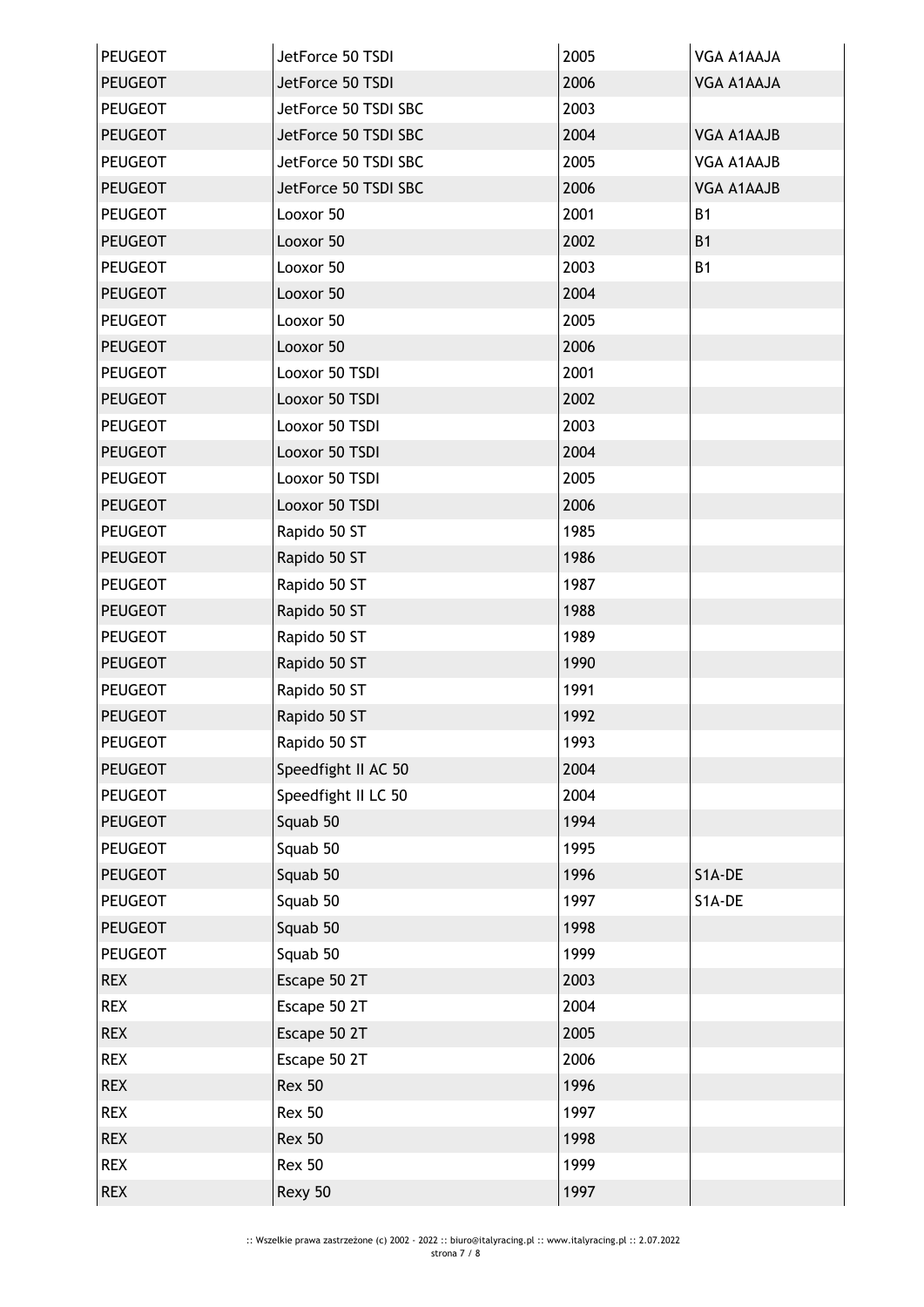| PEUGEOT        | JetForce 50 TSDI     | 2005 | VGA A1AAJA        |
|----------------|----------------------|------|-------------------|
| <b>PEUGEOT</b> | JetForce 50 TSDI     | 2006 | VGA A1AAJA        |
| PEUGEOT        | JetForce 50 TSDI SBC | 2003 |                   |
| <b>PEUGEOT</b> | JetForce 50 TSDI SBC | 2004 | VGA A1AAJB        |
| PEUGEOT        | JetForce 50 TSDI SBC | 2005 | VGA A1AAJB        |
| <b>PEUGEOT</b> | JetForce 50 TSDI SBC | 2006 | <b>VGA A1AAJB</b> |
| <b>PEUGEOT</b> | Looxor 50            | 2001 | <b>B1</b>         |
| <b>PEUGEOT</b> | Looxor 50            | 2002 | <b>B1</b>         |
| <b>PEUGEOT</b> | Looxor 50            | 2003 | <b>B1</b>         |
| <b>PEUGEOT</b> | Looxor 50            | 2004 |                   |
| <b>PEUGEOT</b> | Looxor 50            | 2005 |                   |
| <b>PEUGEOT</b> | Looxor 50            | 2006 |                   |
| <b>PEUGEOT</b> | Looxor 50 TSDI       | 2001 |                   |
| <b>PEUGEOT</b> | Looxor 50 TSDI       | 2002 |                   |
| <b>PEUGEOT</b> | Looxor 50 TSDI       | 2003 |                   |
| <b>PEUGEOT</b> | Looxor 50 TSDI       | 2004 |                   |
| <b>PEUGEOT</b> | Looxor 50 TSDI       | 2005 |                   |
| <b>PEUGEOT</b> | Looxor 50 TSDI       | 2006 |                   |
| PEUGEOT        | Rapido 50 ST         | 1985 |                   |
| <b>PEUGEOT</b> | Rapido 50 ST         | 1986 |                   |
| PEUGEOT        | Rapido 50 ST         | 1987 |                   |
| <b>PEUGEOT</b> | Rapido 50 ST         | 1988 |                   |
| PEUGEOT        | Rapido 50 ST         | 1989 |                   |
| <b>PEUGEOT</b> | Rapido 50 ST         | 1990 |                   |
| <b>PEUGEOT</b> | Rapido 50 ST         | 1991 |                   |
| <b>PEUGEOT</b> | Rapido 50 ST         | 1992 |                   |
| <b>PEUGEOT</b> | Rapido 50 ST         | 1993 |                   |
| <b>PEUGEOT</b> | Speedfight II AC 50  | 2004 |                   |
| <b>PEUGEOT</b> | Speedfight II LC 50  | 2004 |                   |
| <b>PEUGEOT</b> | Squab 50             | 1994 |                   |
| <b>PEUGEOT</b> | Squab 50             | 1995 |                   |
| <b>PEUGEOT</b> | Squab 50             | 1996 | S1A-DE            |
| <b>PEUGEOT</b> | Squab 50             | 1997 | S1A-DE            |
| <b>PEUGEOT</b> | Squab 50             | 1998 |                   |
| <b>PEUGEOT</b> | Squab 50             | 1999 |                   |
| <b>REX</b>     | Escape 50 2T         | 2003 |                   |
| <b>REX</b>     | Escape 50 2T         | 2004 |                   |
| <b>REX</b>     | Escape 50 2T         | 2005 |                   |
| <b>REX</b>     | Escape 50 2T         | 2006 |                   |
| <b>REX</b>     | <b>Rex 50</b>        | 1996 |                   |
| <b>REX</b>     | <b>Rex 50</b>        | 1997 |                   |
| <b>REX</b>     | <b>Rex 50</b>        | 1998 |                   |
| <b>REX</b>     | <b>Rex 50</b>        | 1999 |                   |
| <b>REX</b>     | Rexy 50              | 1997 |                   |